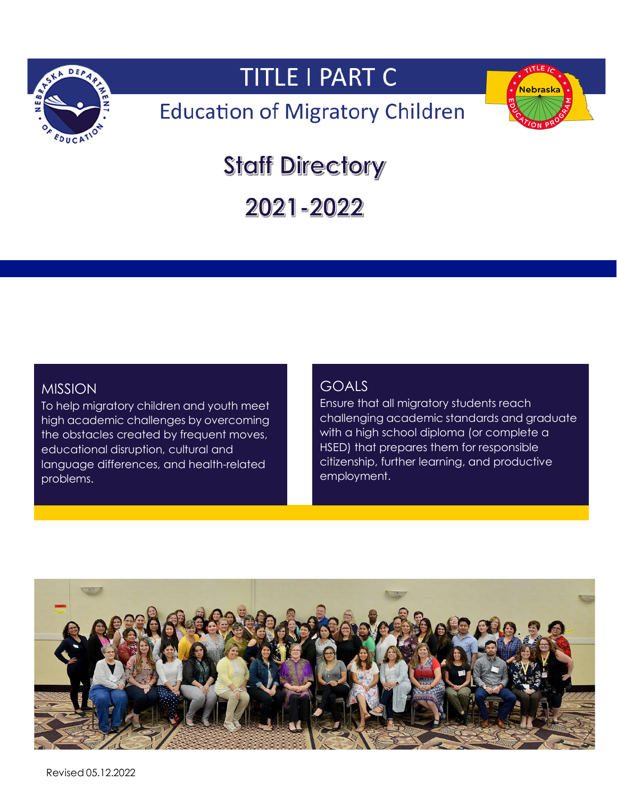

# **TITLE I PART C**

# **Education of Migratory Children**



# **Staff Directory**

2021-2022

## MISSION

high academic challenges by overcoming To help migratory children and youth meet the obstacles created by frequent moves, educational disruption, cultural and language differences, and health-related problems.

## GOALS

Ensure that all migratory students reach challenging academic standards and graduate with a high school diploma (or complete a HSED) that prepares them for responsible citizenship, further learning, and productive employment.

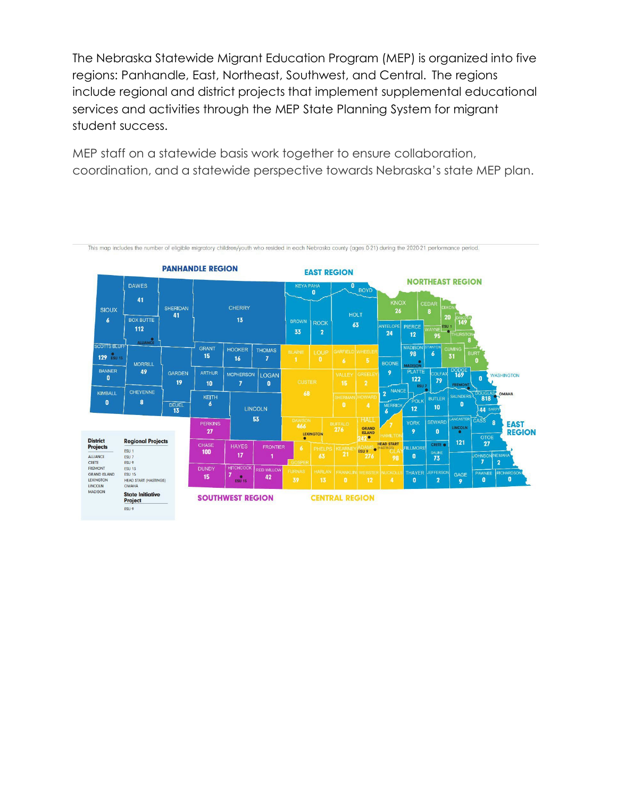The Nebraska Statewide Migrant Education Program (MEP) is organized into five regions: Panhandle, East, Northeast, Southwest, and Central. The regions include regional and district projects that implement supplemental educational services and activities through the MEP State Planning System for migrant student success.

MEP staff on a statewide basis work together to ensure collaboration, coordination, and a statewide perspective towards Nebraska's state MEP plan.

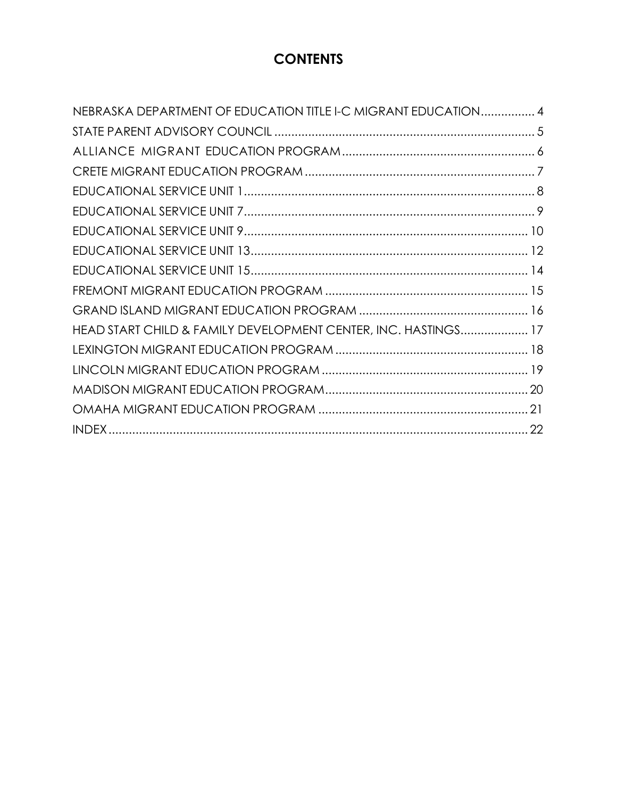## **CONTENTS**

| NEBRASKA DEPARTMENT OF EDUCATION TITLE I-C MIGRANT EDUCATION 4 |  |
|----------------------------------------------------------------|--|
|                                                                |  |
|                                                                |  |
|                                                                |  |
|                                                                |  |
|                                                                |  |
|                                                                |  |
|                                                                |  |
|                                                                |  |
|                                                                |  |
|                                                                |  |
| HEAD START CHILD & FAMILY DEVELOPMENT CENTER, INC. HASTINGS 17 |  |
|                                                                |  |
|                                                                |  |
|                                                                |  |
|                                                                |  |
|                                                                |  |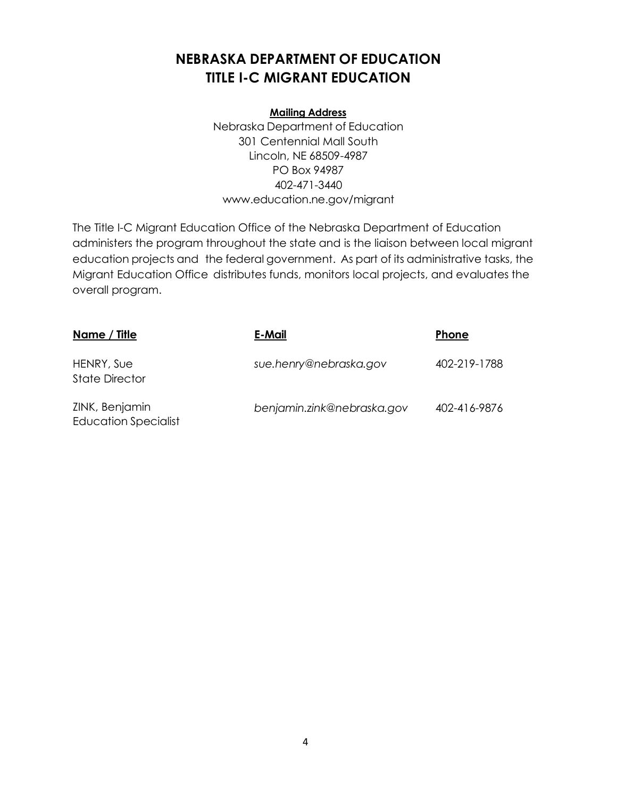## <span id="page-4-0"></span>**NEBRASKA DEPARTMENT OF EDUCATION TITLE I-C MIGRANT EDUCATION**

#### **Mailing Address**

Nebraska Department of Education 301 Centennial Mall South Lincoln, NE 68509-4987 PO Box 94987 402-471-3440 [www.education.ne.gov/migrant](http://www.education.ne.gov/migrant)

The Title I-C Migrant Education Office of the Nebraska Department of Education administers the program throughout the state and is the liaison between local migrant education projects and the federal government. As part of its administrative tasks, the Migrant Education Office distributes funds, monitors local projects, and evaluates the overall program.

| <u>Name / Title</u>                           | E-Mail                     | Phone        |
|-----------------------------------------------|----------------------------|--------------|
| HENRY, Sue<br><b>State Director</b>           | sue.henry@nebraska.gov     | 402-219-1788 |
| ZINK, Benjamin<br><b>Education Specialist</b> | benjamin.zink@nebraska.gov | 402-416-9876 |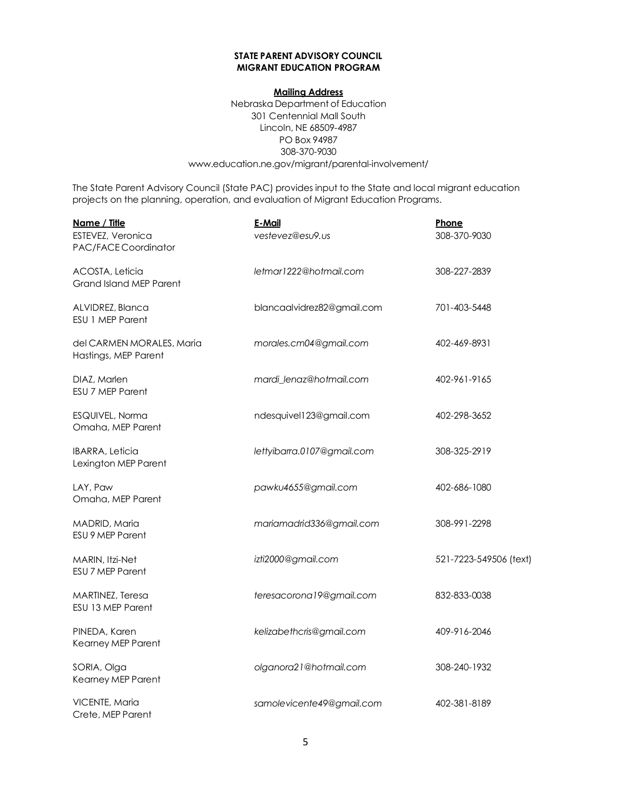#### **STATE PARENT ADVISORY COUNCIL MIGRANT EDUCATION PROGRAM**

#### **Mailing Address**

Nebraska Department of Education 301 Centennial Mall South Lincoln, NE 68509-4987 PO Box 94987 308-370-9030 www.education.ne.gov/migrant/parental-involvement/

The State Parent Advisory Council (State PAC) provides input to the State and local migrant education projects on the planning, operation, and evaluation of Migrant Education Programs.

| Name / Title                                      | E-Mail                     | Phone                  |
|---------------------------------------------------|----------------------------|------------------------|
| ESTEVEZ, Veronica<br>PAC/FACE Coordinator         | vestevez@esu9.us           | 308-370-9030           |
| ACOSTA, Leticia<br><b>Grand Island MEP Parent</b> | letmar1222@hotmail.com     | 308-227-2839           |
| ALVIDREZ, Blanca<br><b>ESU 1 MEP Parent</b>       | blancaalvidrez82@gmail.com | 701-403-5448           |
| del CARMEN MORALES, Maria<br>Hastings, MEP Parent | morales.cm04@gmail.com     | 402-469-8931           |
| DIAZ, Marlen<br><b>ESU 7 MEP Parent</b>           | mardi_lenaz@hotmail.com    | 402-961-9165           |
| ESQUIVEL, Norma<br>Omaha, MEP Parent              | ndesquivel123@gmail.com    | 402-298-3652           |
| <b>IBARRA, Leticia</b><br>Lexington MEP Parent    | lettyibarra.0107@gmail.com | 308-325-2919           |
| LAY, Paw<br>Omaha, MEP Parent                     | pawku4655@gmail.com        | 402-686-1080           |
| MADRID, Maria<br>ESU 9 MEP Parent                 | mariamadrid336@gmail.com   | 308-991-2298           |
| MARIN, Itzi-Net<br>ESU 7 MEP Parent               | izti2000@gmail.com         | 521-7223-549506 (text) |
| MARTINEZ, Teresa<br>ESU 13 MEP Parent             | teresacorona19@gmail.com   | 832-833-0038           |
| PINEDA, Karen<br>Kearney MEP Parent               | kelizabethcris@gmail.com   | 409-916-2046           |
| SORIA, Olga<br>Kearney MEP Parent                 | olganora21@hotmail.com     | 308-240-1932           |
| VICENTE, Maria<br>Crete, MEP Parent               | samolevicente49@gmail.com  | 402-381-8189           |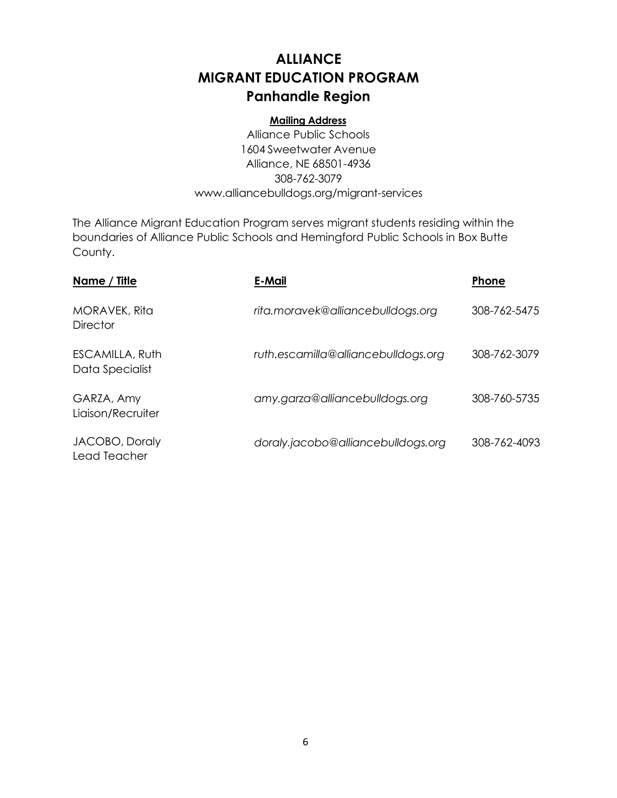## **ALLIANCE MIGRANT EDUCATION PROGRAM Panhandle Region**

#### **Mailing Address**

Alliance Public Schools 1604 Sweetwater Avenue Alliance, NE 68501-4936 308-762-3079 [www.alliancebulldogs.org/migrant-services](http://www.alliancebulldogs.org/migrant-services)

The Alliance Migrant Education Program serves migrant students residing within the boundaries of Alliance Public Schools and Hemingford Public Schools in Box Butte County.

| Name / Title                              | E-Mail                              | <b>Phone</b> |
|-------------------------------------------|-------------------------------------|--------------|
| MORAVEK, Rita<br><b>Director</b>          | rita.moravek@alliancebulldogs.org   | 308-762-5475 |
| <b>ESCAMILLA, Ruth</b><br>Data Specialist | ruth.escamilla@alliancebulldogs.org | 308-762-3079 |
| GARZA, Amy<br>Liaison/Recruiter           | amy.garza@alliancebulldogs.org      | 308-760-5735 |
| JACOBO, Doraly<br>Lead Teacher            | doraly.jacobo@alliancebulldogs.org  | 308-762-4093 |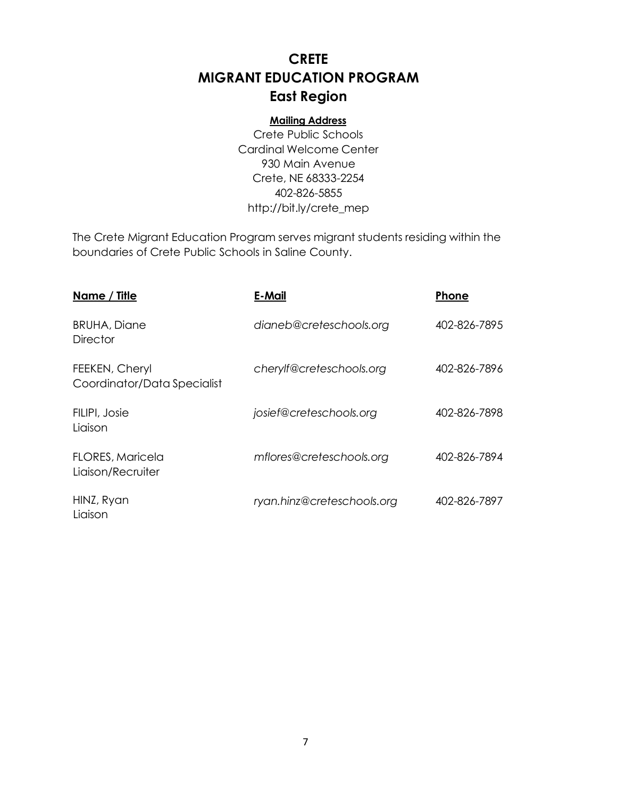## **CRETE MIGRANT EDUCATION PROGRAM East Region**

#### **Mailing Address**

Crete Public Schools Cardinal Welcome Center 930 Main Avenue Crete, NE 68333-2254 402-826-5855 [http://bit.ly/crete\\_mep](http://bit.ly/crete_mep)

The Crete Migrant Education Program serves migrant students residing within the boundaries of Crete Public Schools in Saline County.

| Name / Title                                  | <b>E-Mail</b>              | Phone        |
|-----------------------------------------------|----------------------------|--------------|
| <b>BRUHA, Diane</b><br><b>Director</b>        | dianeb@creteschools.org    | 402-826-7895 |
| FEEKEN, Cheryl<br>Coordinator/Data Specialist | cherylf@creteschools.org   | 402-826-7896 |
| FILIPI, Josie<br>Liaison                      | josief@creteschools.org    | 402-826-7898 |
| <b>FLORES, Maricela</b><br>Liaison/Recruiter  | mflores@creteschools.org   | 402-826-7894 |
| HINZ, Ryan<br>Liaison                         | ryan.hinz@creteschools.org | 402-826-7897 |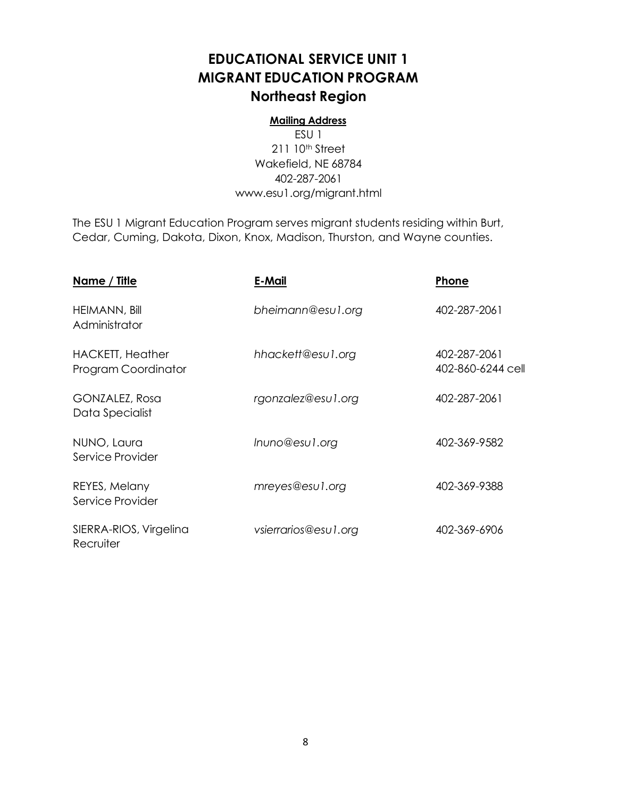## **EDUCATIONAL SERVICE UNIT 1 MIGRANT EDUCATION PROGRAM Northeast Region**

#### **Mailing Address**

ESU 1 211 10<sup>th</sup> Street Wakefield, NE 68784 402-287-2061 [www.esu1.org/migrant.html](http://www.esu1.org/migrant.html)

The ESU 1 Migrant Education Program serves migrant students residing within Burt, Cedar, Cuming, Dakota, Dixon, Knox, Madison, Thurston, and Wayne counties.

| <u>Name / Title</u>                            | E-Mail               | Phone                             |
|------------------------------------------------|----------------------|-----------------------------------|
| <b>HEIMANN, Bill</b><br>Administrator          | bheimann@esu1.org    | 402-287-2061                      |
| <b>HACKETT, Heather</b><br>Program Coordinator | hhackett@esu1.org    | 402-287-2061<br>402-860-6244 cell |
| GONZALEZ, Rosa<br>Data Specialist              | rgonzalez@esu1.org   | 402-287-2061                      |
| NUNO, Laura<br>Service Provider                | Inuno@esu1.org       | 402-369-9582                      |
| REYES, Melany<br>Service Provider              | mreyes@esu1.org      | 402-369-9388                      |
| SIERRA-RIOS, Virgelina<br>Recruiter            | vsierrarios@esu1.org | 402-369-6906                      |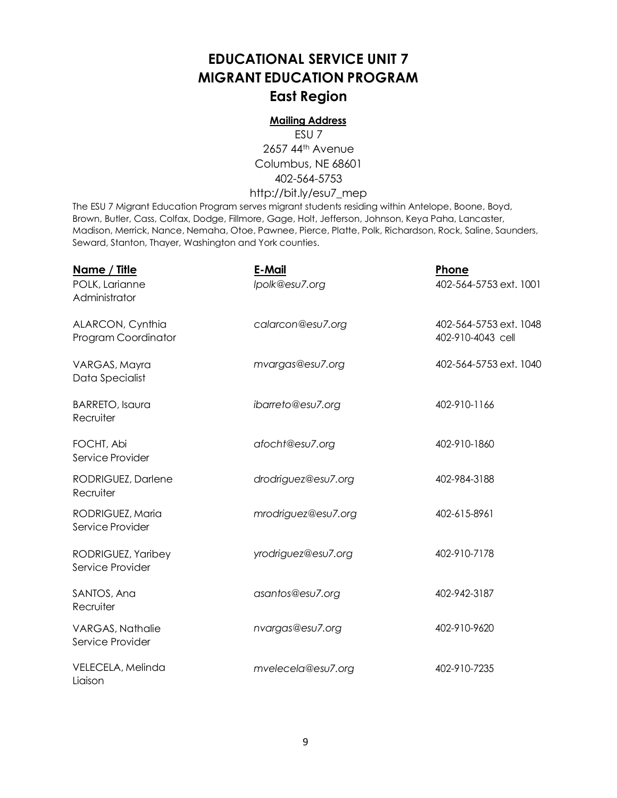## **EDUCATIONAL SERVICE UNIT 7 MIGRANT EDUCATION PROGRAM East Region**

#### **Mailing Address**

ESU 7 2657 44th Avenue Columbus, NE 68601 402-564-5753 [http://bit.ly/esu7\\_mep](http://bit.ly/esu7_mep)

The ESU 7 Migrant Education Program serves migrant students residing within Antelope, Boone, Boyd, Brown, Butler, Cass, Colfax, Dodge, Fillmore, Gage, Holt, Jefferson, Johnson, Keya Paha, Lancaster, Madison, Merrick, Nance, Nemaha, Otoe, Pawnee, Pierce, Platte, Polk, Richardson, Rock, Saline, Saunders, Seward, Stanton, Thayer, Washington and York counties.

| <u>Name / Title</u><br>POLK, Larianne<br>Administrator | E-Mail<br>Ipolk@esu7.org | Phone<br>402-564-5753 ext. 1001             |
|--------------------------------------------------------|--------------------------|---------------------------------------------|
| ALARCON, Cynthia<br>Program Coordinator                | calarcon@esu7.org        | 402-564-5753 ext. 1048<br>402-910-4043 cell |
| VARGAS, Mayra<br>Data Specialist                       | mvargas@esu7.org         | 402-564-5753 ext. 1040                      |
| <b>BARRETO, Isaura</b><br>Recruiter                    | ibarreto@esu7.org        | 402-910-1166                                |
| FOCHT, Abi<br>Service Provider                         | afocht@esu7.org          | 402-910-1860                                |
| RODRIGUEZ, Darlene<br>Recruiter                        | drodriguez@esu7.org      | 402-984-3188                                |
| RODRIGUEZ, Maria<br>Service Provider                   | mrodriguez@esu7.org      | 402-615-8961                                |
| RODRIGUEZ, Yaribey<br>Service Provider                 | yrodriguez@esu7.org      | 402-910-7178                                |
| SANTOS, Ana<br>Recruiter                               | asantos@esu7.org         | 402-942-3187                                |
| <b>VARGAS, Nathalie</b><br>Service Provider            | nvargas@esu7.org         | 402-910-9620                                |
| VELECELA, Melinda<br>Liaison                           | mvelecela@esu7.org       | 402-910-7235                                |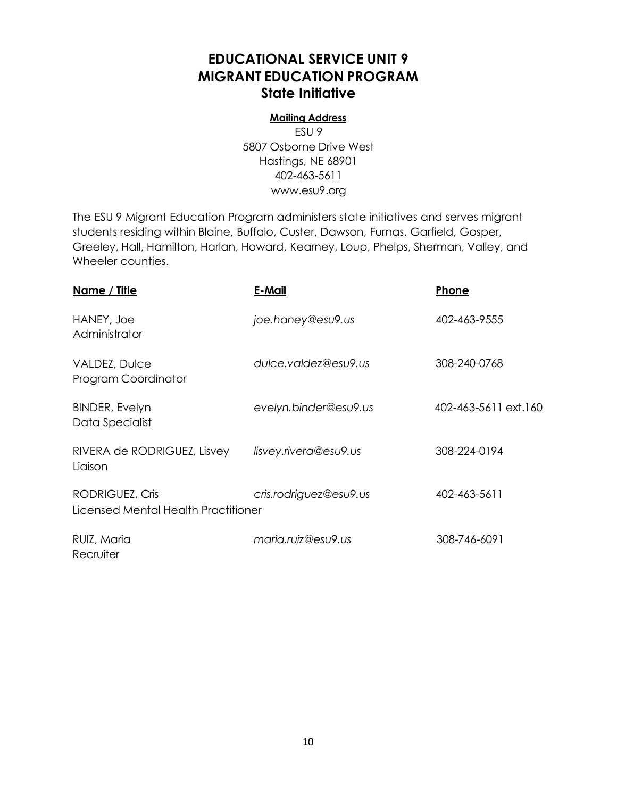## **EDUCATIONAL SERVICE UNIT 9 MIGRANT EDUCATION PROGRAM State Initiative**

#### **Mailing Address**

ESU 9 5807 Osborne Drive West Hastings, NE 68901 402-463-5611 [www.esu9.org](http://www.esu9.org/)

The ESU 9 Migrant Education Program administers state initiatives and serves migrant students residing within Blaine, Buffalo, Custer, Dawson, Furnas, Garfield, Gosper, Greeley, Hall, Hamilton, Harlan, Howard, Kearney, Loup, Phelps, Sherman, Valley, and Wheeler counties.

| <u>Name / Title</u>                                    | E-Mail                 | Phone                |
|--------------------------------------------------------|------------------------|----------------------|
| HANEY, Joe<br>Administrator                            | joe.haney@esu9.us      | 402-463-9555         |
| VALDEZ, Dulce<br>Program Coordinator                   | dulce.valdez@esu9.us   | 308-240-0768         |
| <b>BINDER, Evelyn</b><br>Data Specialist               | evelyn.binder@esu9.us  | 402-463-5611 ext.160 |
| RIVERA de RODRIGUEZ, Lisvey<br>Liaison                 | lisvey.rivera@esu9.us  | 308-224-0194         |
| RODRIGUEZ, Cris<br>Licensed Mental Health Practitioner | cris.rodriguez@esu9.us | 402-463-5611         |
| RUIZ, Maria<br>Recruiter                               | maria.ruiz@esu9.us     | 308-746-6091         |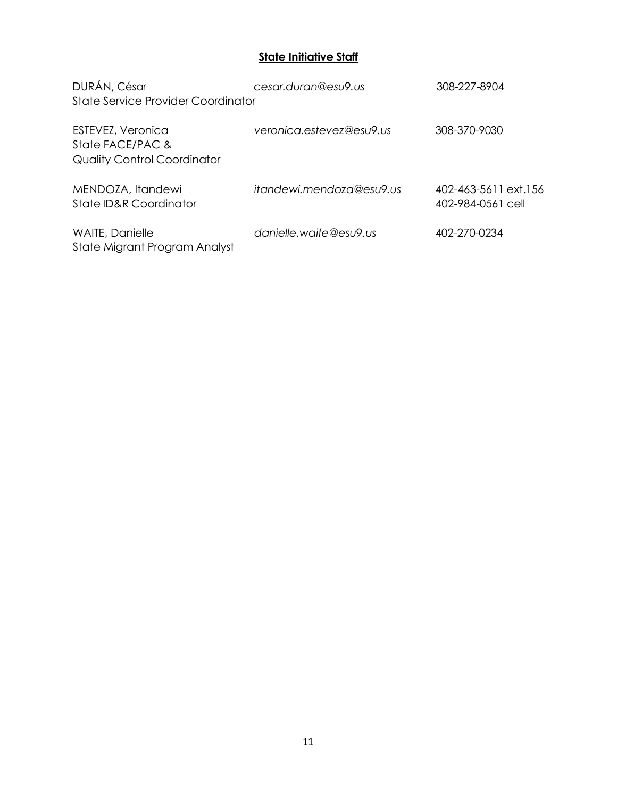#### **State Initiative Staff**

| DURÁN, César                                                                | cesar.duran@esu9.us      | 308-227-8904                              |
|-----------------------------------------------------------------------------|--------------------------|-------------------------------------------|
| State Service Provider Coordinator                                          |                          |                                           |
| ESTEVEZ, Veronica<br>State FACE/PAC &<br><b>Quality Control Coordinator</b> | veronica.estevez@esu9.us | 308-370-9030                              |
| MENDOZA, Itandewi<br>State ID&R Coordinator                                 | itandewi.mendoza@esu9.us | 402-463-5611 ext.156<br>402-984-0561 cell |
| WAITE, Danielle<br>State Migrant Program Analyst                            | danielle.waite@esu9.us   | 402-270-0234                              |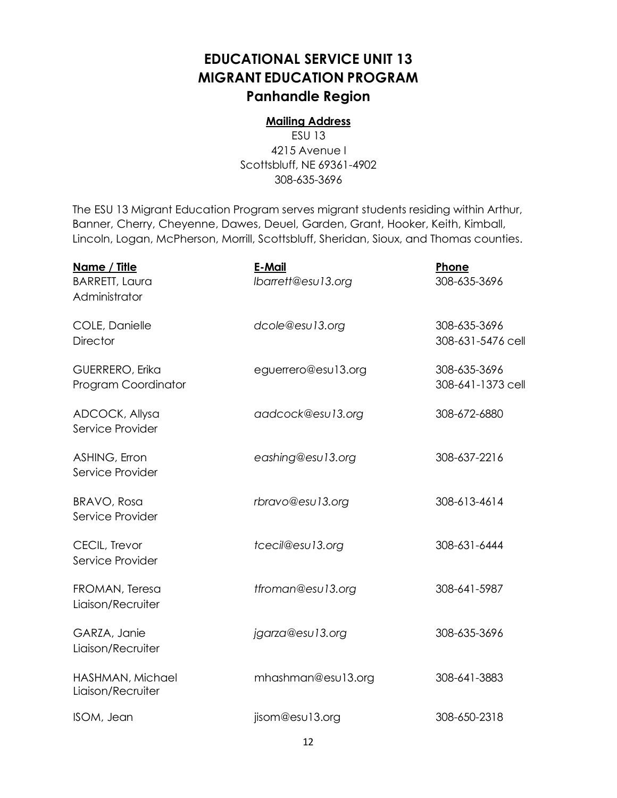## **EDUCATIONAL SERVICE UNIT 13 MIGRANT EDUCATION PROGRAM Panhandle Region**

#### **Mailing Address**

ESU 13 4215 Avenue I Scottsbluff, NE 69361-4902 308-635-3696

The ESU 13 Migrant Education Program serves migrant students residing within Arthur, Banner, Cherry, Cheyenne, Dawes, Deuel, Garden, Grant, Hooker, Keith, Kimball, Lincoln, Logan, McPherson, Morrill, Scottsbluff, Sheridan, Sioux, and Thomas counties.

| Name / Title<br><b>BARRETT, Laura</b><br>Administrator | E-Mail<br>Ibarrett@esu13.org | Phone<br>308-635-3696             |
|--------------------------------------------------------|------------------------------|-----------------------------------|
| COLE, Danielle<br><b>Director</b>                      | dcole@esu13.org              | 308-635-3696<br>308-631-5476 cell |
| GUERRERO, Erika<br>Program Coordinator                 | eguerrero@esu13.org          | 308-635-3696<br>308-641-1373 cell |
| ADCOCK, Allysa<br>Service Provider                     | aadcock@esu13.org            | 308-672-6880                      |
| ASHING, Erron<br>Service Provider                      | eashing@esu13.org            | 308-637-2216                      |
| <b>BRAVO, Rosa</b><br>Service Provider                 | rbravo@esu13.org             | 308-613-4614                      |
| CECIL, Trevor<br>Service Provider                      | tcecil@esu13.org             | 308-631-6444                      |
| FROMAN, Teresa<br>Liaison/Recruiter                    | tfroman@esu13.org            | 308-641-5987                      |
| GARZA, Janie<br>Liaison/Recruiter                      | jgarza@esu13.org             | 308-635-3696                      |
| HASHMAN, Michael<br>Liaison/Recruiter                  | mhashman@esu13.org           | 308-641-3883                      |
| ISOM, Jean                                             | jisom@esu13.org              | 308-650-2318                      |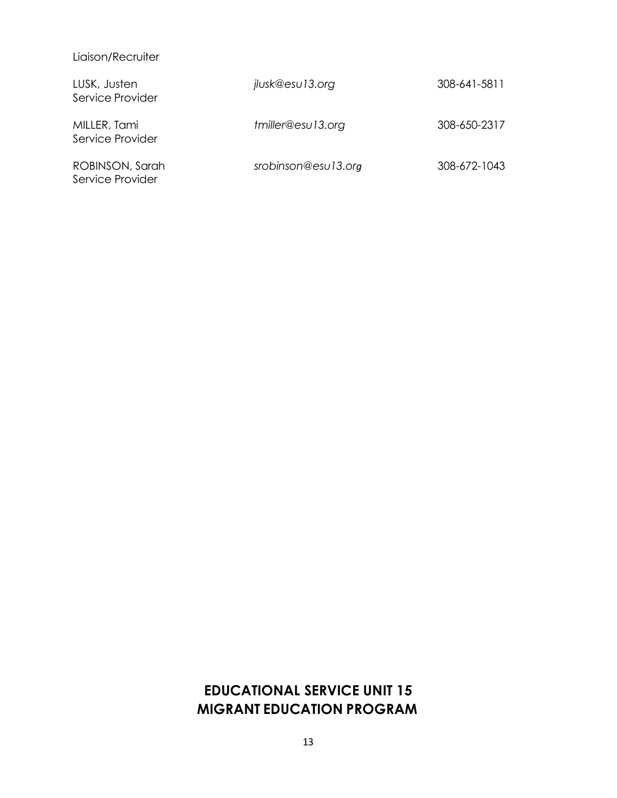#### Liaison/Recruiter

| LUSK, Justen<br>Service Provider    | jlusk@esu13.org     | 308-641-5811 |
|-------------------------------------|---------------------|--------------|
| MILLER, Tami<br>Service Provider    | tmiller@esu13.org   | 308-650-2317 |
| ROBINSON, Sarah<br>Service Provider | srobinson@esu13.org | 308-672-1043 |

## **EDUCATIONAL SERVICE UNIT 15 MIGRANT EDUCATION PROGRAM**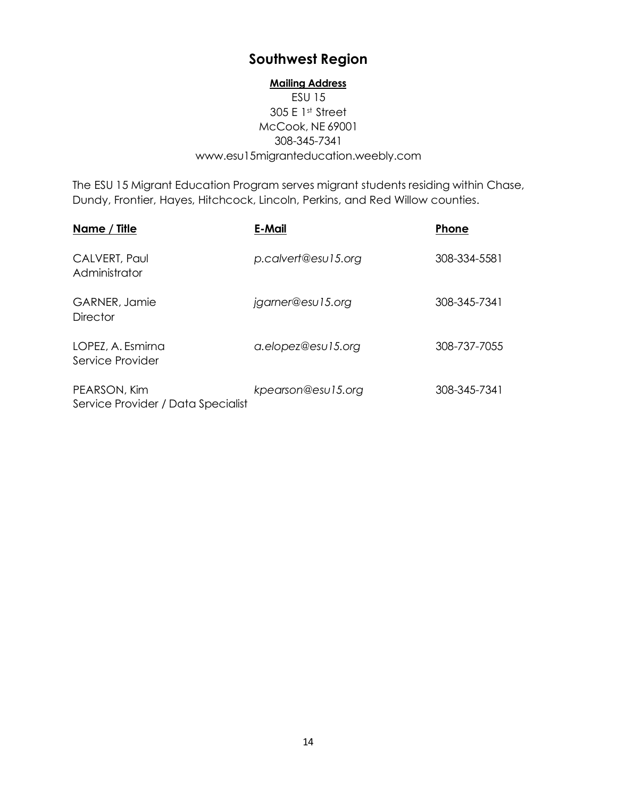## **Southwest Region**

#### **Mailing Address**

#### ESU 15 305 E 1st Street McCook, NE 69001 308-345-7341 [www.esu15migranteducation.weebly.com](http://www.esu15migranteducation.weebly.com/)

The ESU 15 Migrant Education Program serves migrant students residing within Chase, Dundy, Frontier, Hayes, Hitchcock, Lincoln, Perkins, and Red Willow counties.

| Name / Title                                       | E-Mail              | Phone        |
|----------------------------------------------------|---------------------|--------------|
| CALVERT, Paul<br>Administrator                     | p.calvert@esu15.org | 308-334-5581 |
| GARNER, Jamie<br><b>Director</b>                   | jgarner@esu15.org   | 308-345-7341 |
| LOPEZ, A. Esmirna<br>Service Provider              | a.elopez@esu15.org  | 308-737-7055 |
| PEARSON, Kim<br>Service Provider / Data Specialist | kpearson@esu15.org  | 308-345-7341 |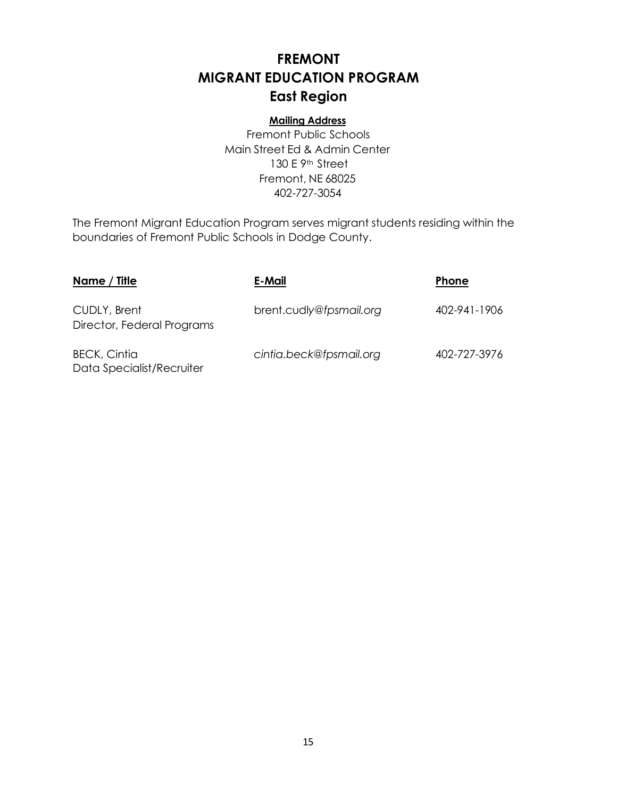## **FREMONT MIGRANT EDUCATION PROGRAM East Region**

#### **Mailing Address**

Fremont Public Schools Main Street Ed & Admin Center 130 E 9<sup>th</sup> Street Fremont, NE 68025 402-727-3054

The Fremont Migrant Education Program serves migrant students residing within the boundaries of Fremont Public Schools in Dodge County.

| Name / Title                                     | E-Mail                  | <b>Phone</b> |
|--------------------------------------------------|-------------------------|--------------|
| CUDLY, Brent<br>Director, Federal Programs       | brent.cudly@fpsmail.org | 402-941-1906 |
| <b>BECK, Cintia</b><br>Data Specialist/Recruiter | cintia.beck@fpsmail.org | 402-727-3976 |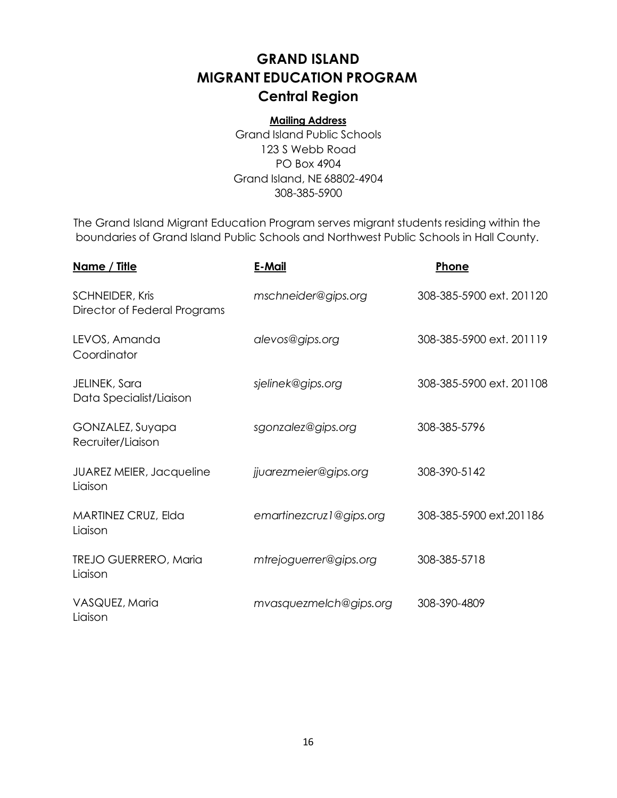## <span id="page-16-0"></span>**GRAND ISLAND MIGRANT EDUCATION PROGRAM Central Region**

#### **Mailing Address**

Grand Island Public Schools 123 S Webb Road PO Box 4904 Grand Island, NE 68802-4904 308-385-5900

The Grand Island Migrant Education Program serves migrant students residing within the boundaries of Grand Island Public Schools and Northwest Public Schools in Hall County.

| <u>Name / Title</u>                             | E-Mail                  | Phone                    |
|-------------------------------------------------|-------------------------|--------------------------|
| SCHNEIDER, Kris<br>Director of Federal Programs | mschneider@gips.org     | 308-385-5900 ext. 201120 |
| LEVOS, Amanda<br>Coordinator                    | alevos@gips.org         | 308-385-5900 ext. 201119 |
| JELINEK, Sara<br>Data Specialist/Liaison        | sjelinek@gips.org       | 308-385-5900 ext. 201108 |
| GONZALEZ, Suyapa<br>Recruiter/Liaison           | sgonzalez@gips.org      | 308-385-5796             |
| <b>JUAREZ MEIER, Jacqueline</b><br>Liaison      | jjuarezmeier@gips.org   | 308-390-5142             |
| MARTINEZ CRUZ, Elda<br>Liaison                  | emartinezcruz1@gips.org | 308-385-5900 ext.201186  |
| <b>TREJO GUERRERO, Maria</b><br>Liaison         | mtrejoguerrer@gips.org  | 308-385-5718             |
| VASQUEZ, Maria<br>Liaison                       | mvasquezmelch@gips.org  | 308-390-4809             |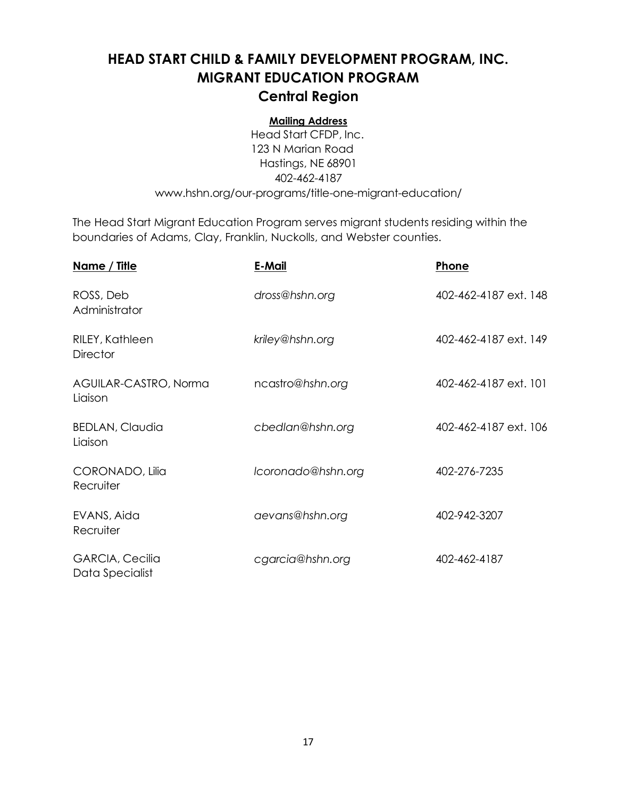## **HEAD START CHILD & FAMILY DEVELOPMENT PROGRAM, INC. MIGRANT EDUCATION PROGRAM Central Region**

#### **Mailing Address**

Head Start CFDP, Inc. 123 N Marian Road Hastings, NE 68901 402-462-4187 [www.hshn.org/our-programs/title-one-migrant-education/](http://www.hshn.org/our-programs/title-one-migrant-education/)

The Head Start Migrant Education Program serves migrant students residing within the boundaries of Adams, Clay, Franklin, Nuckolls, and Webster counties.

| <u>Name / Title</u>                       | E-Mail             | Phone                 |
|-------------------------------------------|--------------------|-----------------------|
| ROSS, Deb<br>Administrator                | dross@hshn.org     | 402-462-4187 ext. 148 |
| RILEY, Kathleen<br><b>Director</b>        | kriley@hshn.org    | 402-462-4187 ext. 149 |
| AGUILAR-CASTRO, Norma<br>Liaison          | ncastro@hshn.org   | 402-462-4187 ext. 101 |
| <b>BEDLAN, Claudia</b><br>Liaison         | cbedlan@hshn.org   | 402-462-4187 ext. 106 |
| CORONADO, Lilia<br>Recruiter              | Icoronado@hshn.org | 402-276-7235          |
| EVANS, Aida<br>Recruiter                  | aevans@hshn.org    | 402-942-3207          |
| <b>GARCIA, Cecilia</b><br>Data Specialist | cgarcia@hshn.org   | 402-462-4187          |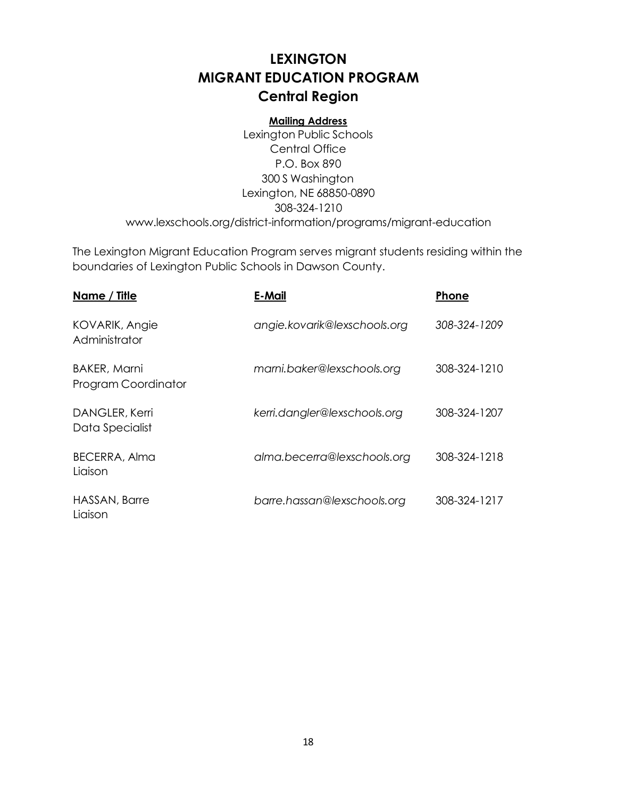## **LEXINGTON MIGRANT EDUCATION PROGRAM Central Region**

#### **Mailing Address**

Lexington Public Schools Central Office P.O. Box 890 300 S Washington Lexington, NE 68850-0890 308-324-1210 [www.lexschools.org/district-information/programs/migrant-education](http://www.lexschools.org/district-information/programs/migrant-education)

The Lexington Migrant Education Program serves migrant students residing within the boundaries of Lexington Public Schools in Dawson County.

| Name / Title                               | E-Mail                       | Phone        |
|--------------------------------------------|------------------------------|--------------|
| KOVARIK, Angie<br>Administrator            | angie.kovarik@lexschools.org | 308-324-1209 |
| <b>BAKER, Marni</b><br>Program Coordinator | marni.baker@lexschools.org   | 308-324-1210 |
| DANGLER, Kerri<br>Data Specialist          | kerri.dangler@lexschools.org | 308-324-1207 |
| <b>BECERRA, Alma</b><br>Liaison            | alma.becerra@lexschools.org  | 308-324-1218 |
| HASSAN, Barre<br>Liaison                   | barre.hassan@lexschools.org  | 308-324-1217 |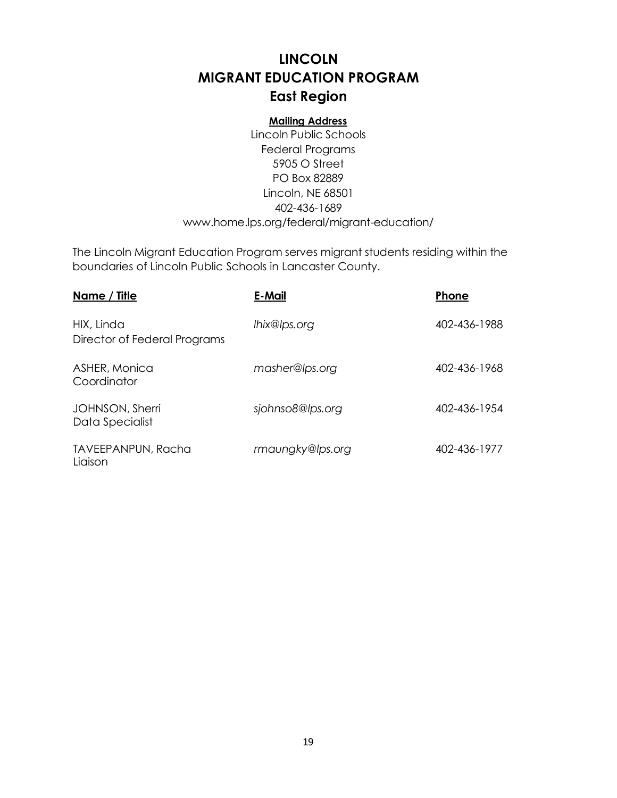## **LINCOLN MIGRANT EDUCATION PROGRAM East Region**

#### **Mailing Address**

Lincoln Public Schools Federal Programs 5905 O Street PO Box 82889 Lincoln, NE 68501 402-436-1689 [www.home.lps.org/federal/migrant-education/](http://www.home.lps.org/federal/migrant-education/)

The Lincoln Migrant Education Program serves migrant students residing within the boundaries of Lincoln Public Schools in Lancaster County.

| Name / Title                               | E-Mail           | Phone        |
|--------------------------------------------|------------------|--------------|
| HIX, Linda<br>Director of Federal Programs | lhix@lps.org     | 402-436-1988 |
| ASHER, Monica<br>Coordinator               | masher@lps.org   | 402-436-1968 |
| JOHNSON, Sherri<br>Data Specialist         | sjohnso8@lps.org | 402-436-1954 |
| <b>TAVEEPANPUN, Racha</b><br>Liaison       | rmaungky@lps.org | 402-436-1977 |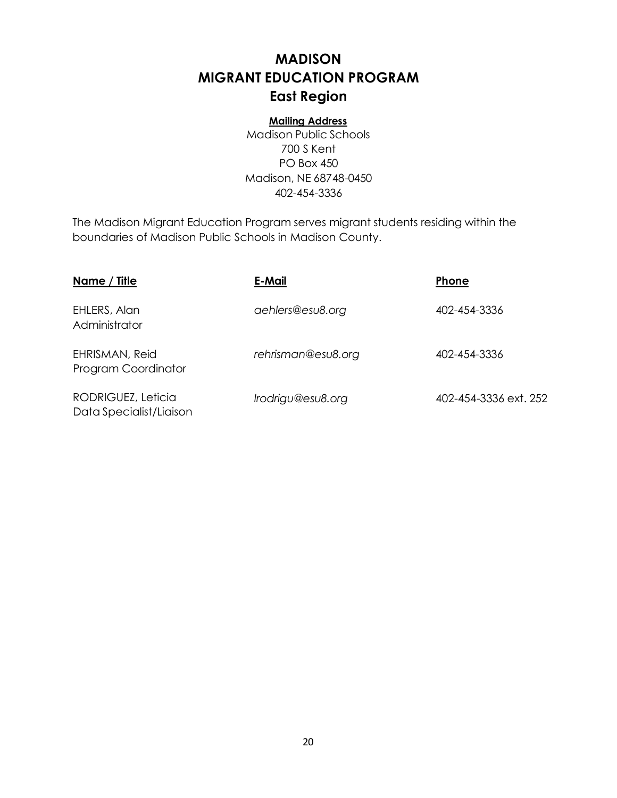## **MADISON MIGRANT EDUCATION PROGRAM East Region**

#### **Mailing Address**

Madison Public Schools 700 S Kent PO Box 450 Madison, NE 68748-0450 402-454-3336

The Madison Migrant Education Program serves migrant students residing within the boundaries of Madison Public Schools in Madison County.

| Name / Title                                  | E-Mail             | Phone                 |
|-----------------------------------------------|--------------------|-----------------------|
| EHLERS, Alan<br>Administrator                 | aehlers@esu8.org   | 402-454-3336          |
| EHRISMAN, Reid<br>Program Coordinator         | rehrisman@esu8.org | 402-454-3336          |
| RODRIGUEZ, Leticia<br>Data Specialist/Liaison | Irodrigu@esu8.org  | 402-454-3336 ext. 252 |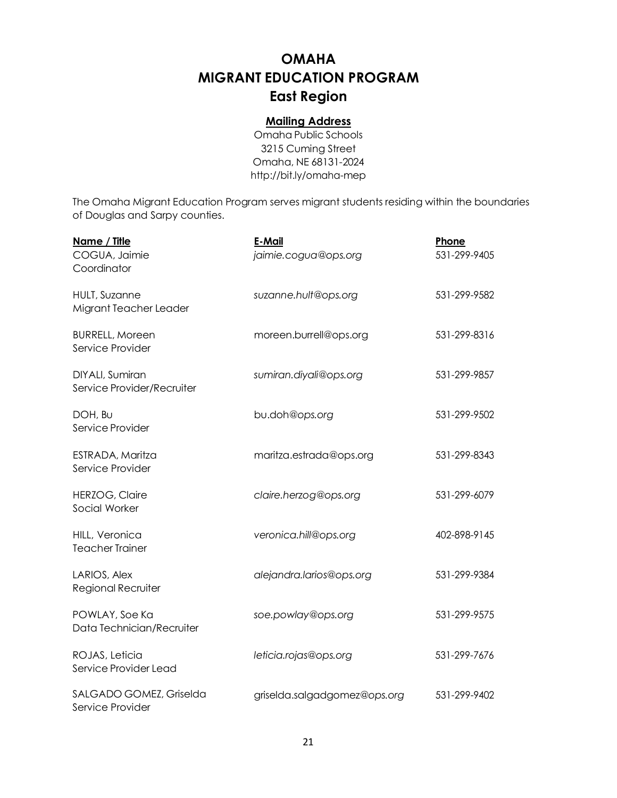## **OMAHA MIGRANT EDUCATION PROGRAM East Region**

#### **Mailing Address**

Omaha Public Schools 3215 Cuming Street Omaha, NE 68131-2024 <http://bit.ly/omaha-mep>

The Omaha Migrant Education Program serves migrant students residing within the boundaries of Douglas and Sarpy counties.

| Name / Title<br>COGUA, Jaimie<br>Coordinator   | E-Mail<br>jaimie.cogua@ops.org | Phone<br>531-299-9405 |
|------------------------------------------------|--------------------------------|-----------------------|
| <b>HULT, Suzanne</b><br>Migrant Teacher Leader | suzanne.hult@ops.org           | 531-299-9582          |
| <b>BURRELL, Moreen</b><br>Service Provider     | moreen.burrell@ops.org         | 531-299-8316          |
| DIYALI, Sumiran<br>Service Provider/Recruiter  | sumiran.diyali@ops.org         | 531-299-9857          |
| DOH, BU<br>Service Provider                    | bu.doh@ops.org                 | 531-299-9502          |
| ESTRADA, Maritza<br>Service Provider           | maritza.estrada@ops.org        | 531-299-8343          |
| <b>HERZOG, Claire</b><br>Social Worker         | claire.herzog@ops.org          | 531-299-6079          |
| HILL, Veronica<br><b>Teacher Trainer</b>       | veronica.hill@ops.org          | 402-898-9145          |
| LARIOS, Alex<br>Regional Recruiter             | alejandra.larios@ops.org       | 531-299-9384          |
| POWLAY, Soe Ka<br>Data Technician/Recruiter    | soe.powlay@ops.org             | 531-299-9575          |
| ROJAS, Leticia<br>Service Provider Lead        | leticia.rojas@ops.org          | 531-299-7676          |
| SALGADO GOMEZ, Griselda<br>Service Provider    | griselda.salgadgomez@ops.org   | 531-299-9402          |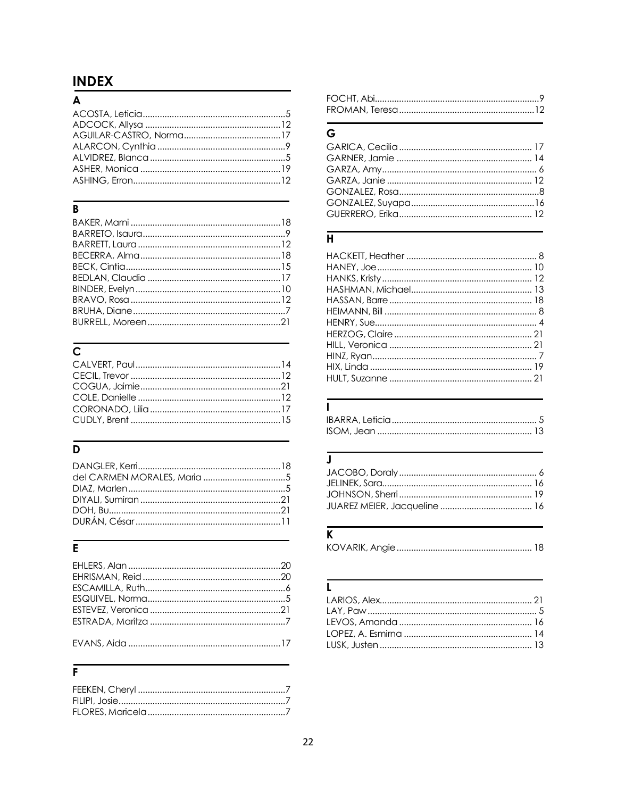# <span id="page-22-0"></span>**INDEX**<br>A

## $\overline{B}$

# $\overline{c}$

# $\overline{\mathsf{D}}$

## $\overline{\overline{E}}$

#### $\overline{F}$

## $\overline{G}$

## $\overline{H}$

#### $\overline{I}$

### $\overline{\mathsf{J}}$

## $\overline{\mathbf{K}}$

|--|--|

## $\overline{\mathbf{L}}$